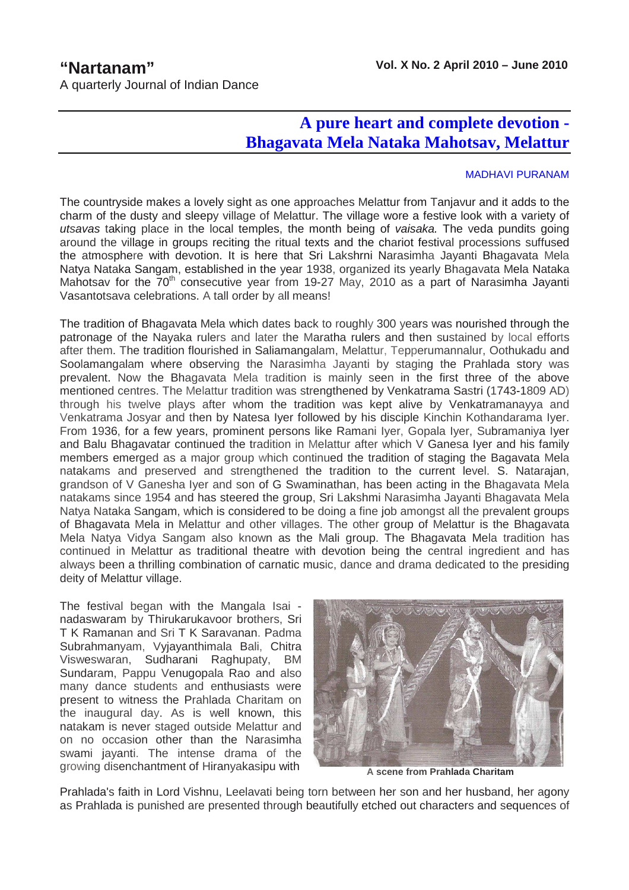A quarterly Journal of Indian Dance

## **A pure heart and complete devotion - Bhagavata Mela Nataka Mahotsav, Melattur**

## MADHAVI PURANAM

The countryside makes a lovely sight as one approaches Melattur from Tanjavur and it adds to the charm of the dusty and sleepy village of Melattur. The village wore a festive look with a variety of utsavas taking place in the local temples, the month being of vaisaka. The veda pundits going around the village in groups reciting the ritual texts and the chariot festival processions suffused the atmosphere with devotion. It is here that Sri Lakshrni Narasimha Jayanti Bhagavata Mela Natya Nataka Sangam, established in the year 1938, organized its yearly Bhagavata Mela Nataka Mahotsav for the  $70<sup>th</sup>$  consecutive year from 19-27 May, 2010 as a part of Narasimha Jayanti Vasantotsava celebrations. A tall order by all means!

The tradition of Bhagavata Mela which dates back to roughly 300 years was nourished through the patronage of the Nayaka rulers and later the Maratha rulers and then sustained by local efforts after them. The tradition flourished in Saliamangalam, Melattur, Tepperumannalur, Oothukadu and Soolamangalam where observing the Narasimha Jayanti by staging the Prahlada story was prevalent. Now the Bhagavata Mela tradition is mainly seen in the first three of the above mentioned centres. The Melattur tradition was strengthened by Venkatrama Sastri (1743-1809 AD) through his twelve plays after whom the tradition was kept alive by Venkatramanayya and Venkatrama Josyar and then by Natesa Iyer followed by his disciple Kinchin Kothandarama Iyer. From 1936, for a few years, prominent persons like Ramani Iyer, Gopala Iyer, Subramaniya Iyer and Balu Bhagavatar continued the tradition in Melattur after which V Ganesa Iyer and his family members emerged as a major group which continued the tradition of staging the Bagavata Mela natakams and preserved and strengthened the tradition to the current level. S. Natarajan, grandson of V Ganesha Iyer and son of G Swaminathan, has been acting in the Bhagavata Mela natakams since 1954 and has steered the group, Sri Lakshmi Narasimha Jayanti Bhagavata Mela Natya Nataka Sangam, which is considered to be doing a fine job amongst all the prevalent groups of Bhagavata Mela in Melattur and other villages. The other group of Melattur is the Bhagavata Mela Natya Vidya Sangam also known as the Mali group. The Bhagavata Mela tradition has continued in Melattur as traditional theatre with devotion being the central ingredient and has always been a thrilling combination of carnatic music, dance and drama dedicated to the presiding deity of Melattur village.

The festival began with the Mangala Isai nadaswaram by Thirukarukavoor brothers, Sri T K Ramanan and Sri T K Saravanan. Padma Subrahmanyam, Vyjayanthimala Bali, Chitra Visweswaran, Sudharani Raghupaty, BM Sundaram, Pappu Venugopala Rao and also many dance students and enthusiasts were present to witness the Prahlada Charitam on the inaugural day. As is well known, this natakam is never staged outside Melattur and on no occasion other than the Narasimha swami jayanti. The intense drama of the growing disenchantment of Hiranyakasipu with **A scene from Prahlada Charitam**



Prahlada's faith in Lord Vishnu, Leelavati being torn between her son and her husband, her agony as Prahlada is punished are presented through beautifully etched out characters and sequences of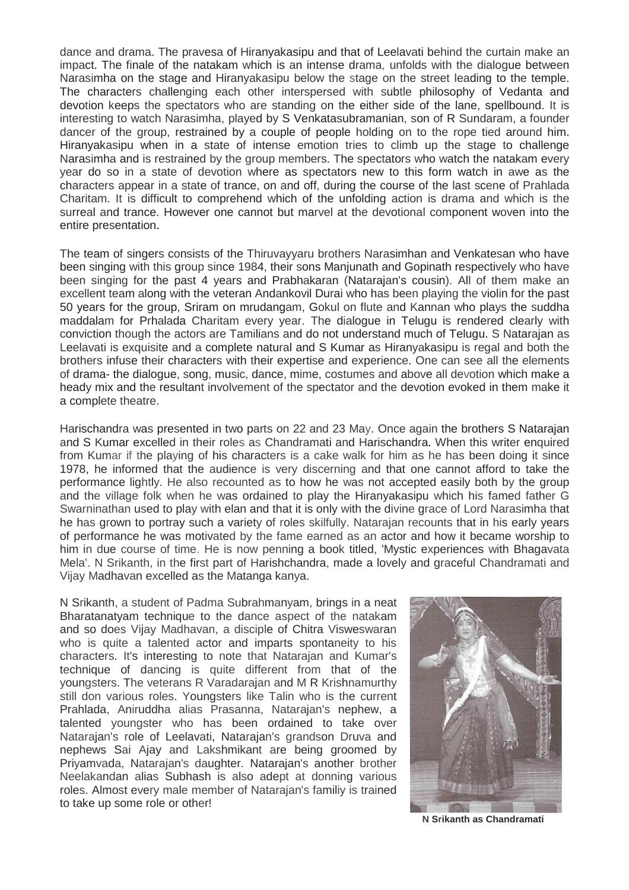dance and drama. The pravesa of Hiranyakasipu and that of Leelavati behind the curtain make an impact. The finale of the natakam which is an intense drama, unfolds with the dialogue between Narasimha on the stage and Hiranyakasipu below the stage on the street leading to the temple. The characters challenging each other interspersed with subtle philosophy of Vedanta and devotion keeps the spectators who are standing on the either side of the lane, spellbound. It is interesting to watch Narasimha, played by S Venkatasubramanian, son of R Sundaram, a founder dancer of the group, restrained by a couple of people holding on to the rope tied around him. Hiranyakasipu when in a state of intense emotion tries to climb up the stage to challenge Narasimha and is restrained by the group members. The spectators who watch the natakam every year do so in a state of devotion where as spectators new to this form watch in awe as the characters appear in a state of trance, on and off, during the course of the last scene of Prahlada Charitam. It is difficult to comprehend which of the unfolding action is drama and which is the surreal and trance. However one cannot but marvel at the devotional component woven into the entire presentation.

The team of singers consists of the Thiruvayyaru brothers Narasimhan and Venkatesan who have been singing with this group since 1984, their sons Manjunath and Gopinath respectively who have been singing for the past 4 years and Prabhakaran (Natarajan's cousin). All of them make an excellent team along with the veteran Andankovil Durai who has been playing the violin for the past 50 years for the group, Sriram on mrudangam, Gokul on flute and Kannan who plays the suddha maddalam for Prhalada Charitam every year. The dialogue in Telugu is rendered clearly with conviction though the actors are Tamilians and do not understand much of Telugu. S Natarajan as Leelavati is exquisite and a complete natural and S Kumar as Hiranyakasipu is regal and both the brothers infuse their characters with their expertise and experience. One can see all the elements of drama- the dialogue, song, music, dance, mime, costumes and above all devotion which make a heady mix and the resultant involvement of the spectator and the devotion evoked in them make it a complete theatre.

Harischandra was presented in two parts on 22 and 23 May. Once again the brothers S Natarajan and S Kumar excelled in their roles as Chandramati and Harischandra. When this writer enquired from Kumar if the playing of his characters is a cake walk for him as he has been doing it since 1978, he informed that the audience is very discerning and that one cannot afford to take the performance lightly. He also recounted as to how he was not accepted easily both by the group and the village folk when he was ordained to play the Hiranyakasipu which his famed father G Swarninathan used to play with elan and that it is only with the divine grace of Lord Narasimha that he has grown to portray such a variety of roles skilfully. Natarajan recounts that in his early years of performance he was motivated by the fame earned as an actor and how it became worship to him in due course of time. He is now penning a book titled, 'Mystic experiences with Bhagavata Mela'. N Srikanth, in the first part of Harishchandra, made a lovely and graceful Chandramati and Vijay Madhavan excelled as the Matanga kanya.

N Srikanth, a student of Padma Subrahmanyam, brings in a neat Bharatanatyam technique to the dance aspect of the natakam and so does Vijay Madhavan, a disciple of Chitra Visweswaran who is quite a talented actor and imparts spontaneity to his characters. It's interesting to note that Natarajan and Kumar's technique of dancing is quite different from that of the youngsters. The veterans R Varadarajan and M R Krishnamurthy still don various roles. Youngsters like Talin who is the current Prahlada, Aniruddha alias Prasanna, Natarajan's nephew, a talented youngster who has been ordained to take over Natarajan's role of Leelavati, Natarajan's grandson Druva and nephews Sai Ajay and Lakshmikant are being groomed by Priyamvada, Natarajan's daughter. Natarajan's another brother Neelakandan alias Subhash is also adept at donning various roles. Almost every male member of Natarajan's familiy is trained to take up some role or other!



**N Srikanth as Chandramati**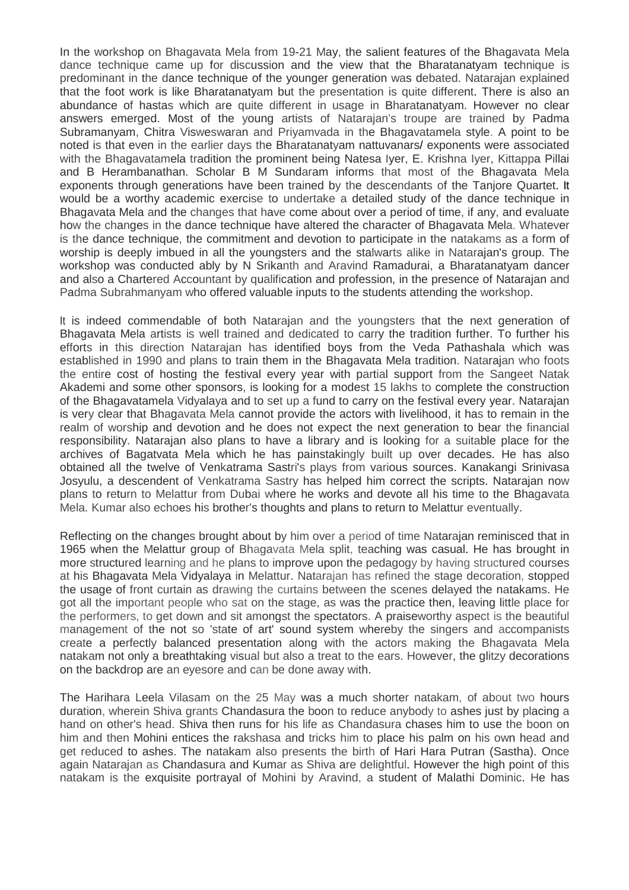In the workshop on Bhagavata Mela from 19-21 May, the salient features of the Bhagavata Mela dance technique came up for discussion and the view that the Bharatanatyam technique is predominant in the dance technique of the younger generation was debated. Natarajan explained that the foot work is like Bharatanatyam but the presentation is quite different. There is also an abundance of hastas which are quite different in usage in Bharatanatyam. However no clear answers emerged. Most of the young artists of Natarajan's troupe are trained by Padma Subramanyam, Chitra Visweswaran and Priyamvada in the Bhagavatamela style. A point to be noted is that even in the earlier days the Bharatanatyam nattuvanars/ exponents were associated with the Bhagavatamela tradition the prominent being Natesa Iyer, E. Krishna Iyer, Kittappa Pillai and B Herambanathan. Scholar B M Sundaram informs that most of the Bhagavata Mela exponents through generations have been trained by the descendants of the Tanjore Quartet. **It**  would be a worthy academic exercise to undertake a detailed study of the dance technique in Bhagavata Mela and the changes that have come about over a period of time, if any, and evaluate how the changes in the dance technique have altered the character of Bhagavata Mela. Whatever is the dance technique, the commitment and devotion to participate in the natakams as a form of worship is deeply imbued in all the youngsters and the stalwarts alike in Natarajan's group. The workshop was conducted ably by N Srikanth and Aravind Ramadurai, a Bharatanatyam dancer and also a Chartered Accountant by qualification and profession, in the presence of Natarajan and Padma Subrahmanyam who offered valuable inputs to the students attending the workshop.

It is indeed commendable of both Natarajan and the youngsters that the next generation of Bhagavata Mela artists is well trained and dedicated to carry the tradition further. To further his efforts in this direction Natarajan has identified boys from the Veda Pathashala which was established in 1990 and plans to train them in the Bhagavata Mela tradition. Natarajan who foots the entire cost of hosting the festival every year with partial support from the Sangeet Natak Akademi and some other sponsors, is looking for a modest 15 lakhs to complete the construction of the Bhagavatamela Vidyalaya and to set up a fund to carry on the festival every year. Natarajan is very clear that Bhagavata Mela cannot provide the actors with livelihood, it has to remain in the realm of worship and devotion and he does not expect the next generation to bear the financial responsibility. Natarajan also plans to have a library and is looking for a suitable place for the archives of Bagatvata Mela which he has painstakingly built up over decades. He has also obtained all the twelve of Venkatrama Sastri's plays from various sources. Kanakangi Srinivasa Josyulu, a descendent of Venkatrama Sastry has helped him correct the scripts. Natarajan now plans to return to Melattur from Dubai where he works and devote all his time to the Bhagavata Mela. Kumar also echoes his brother's thoughts and plans to return to Melattur eventually.

Reflecting on the changes brought about by him over a period of time Natarajan reminisced that in 1965 when the Melattur group of Bhagavata Mela split, teaching was casual. He has brought in more structured learning and he plans to improve upon the pedagogy by having structured courses at his Bhagavata Mela Vidyalaya in Melattur. Natarajan has refined the stage decoration, stopped the usage of front curtain as drawing the curtains between the scenes delayed the natakams. He got all the important people who sat on the stage, as was the practice then, leaving little place for the performers, to get down and sit amongst the spectators. A praiseworthy aspect is the beautiful management of the not so 'state of art' sound system whereby the singers and accompanists create a perfectly balanced presentation along with the actors making the Bhagavata Mela natakam not only a breathtaking visual but also a treat to the ears. However, the glitzy decorations on the backdrop are an eyesore and can be done away with.

The Harihara Leela Vilasam on the 25 May was a much shorter natakam, of about two hours duration, wherein Shiva grants Chandasura the boon to reduce anybody to ashes just by placing a hand on other's head. Shiva then runs for his life as Chandasura chases him to use the boon on him and then Mohini entices the rakshasa and tricks him to place his palm on his own head and get reduced to ashes. The natakam also presents the birth of Hari Hara Putran (Sastha). Once again Natarajan as Chandasura and Kumar as Shiva are delightful. However the high point of this natakam is the exquisite portrayal of Mohini by Aravind, a student of Malathi Dominic. He has